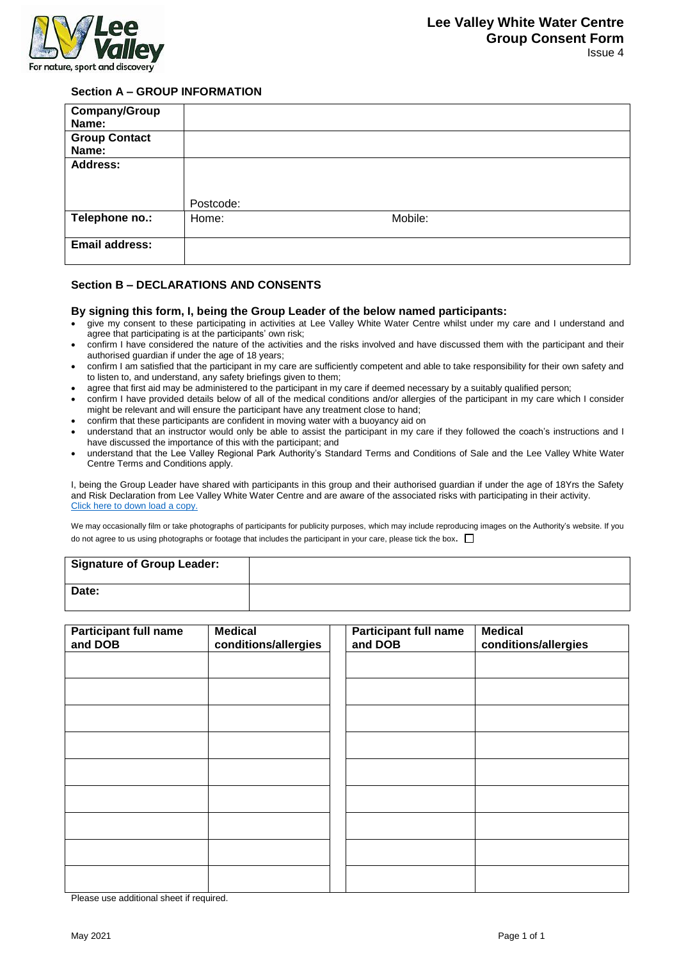

## **Section A – GROUP INFORMATION**

| Company/Group<br>Name:        |           |         |
|-------------------------------|-----------|---------|
| <b>Group Contact</b><br>Name: |           |         |
| <b>Address:</b>               | Postcode: |         |
| Telephone no.:                | Home:     | Mobile: |
| Email address:                |           |         |

## **Section B – DECLARATIONS AND CONSENTS**

## **By signing this form, I, being the Group Leader of the below named participants:**

- give my consent to these participating in activities at Lee Valley White Water Centre whilst under my care and I understand and agree that participating is at the participants' own risk;
- confirm I have considered the nature of the activities and the risks involved and have discussed them with the participant and their authorised guardian if under the age of 18 years;
- confirm I am satisfied that the participant in my care are sufficiently competent and able to take responsibility for their own safety and to listen to, and understand, any safety briefings given to them;
- agree that first aid may be administered to the participant in my care if deemed necessary by a suitably qualified person;
- confirm I have provided details below of all of the medical conditions and/or allergies of the participant in my care which I consider might be relevant and will ensure the participant have any treatment close to hand;
- confirm that these participants are confident in moving water with a buoyancy aid on
- understand that an instructor would only be able to assist the participant in my care if they followed the coach's instructions and I have discussed the importance of this with the participant; and
- understand that the Lee Valley Regional Park Authority's Standard Terms and Conditions of Sale and the Lee Valley White Water Centre Terms and Conditions apply.

I, being the Group Leader have shared with participants in this group and their authorised guardian if under the age of 18Yrs the Safety and Risk Declaration from Lee Valley White Water Centre and are aware of the associated risks with participating in their activity. [Click here to down load a copy.](Group%20Declaration.pdf)

We may occasionally film or take photographs of participants for publicity purposes, which may include reproducing images on the Authority's website. If you do not agree to us using photographs or footage that includes the participant in your care, please tick the box.  $\square$ 

| Signature of Group Leader: |  |
|----------------------------|--|
| Date:                      |  |

| <b>Participant full name</b><br>and DOB | <b>Medical</b><br>conditions/allergies | <b>Participant full name</b><br>and DOB | <b>Medical</b><br>conditions/allergies |
|-----------------------------------------|----------------------------------------|-----------------------------------------|----------------------------------------|
|                                         |                                        |                                         |                                        |
|                                         |                                        |                                         |                                        |
|                                         |                                        |                                         |                                        |
|                                         |                                        |                                         |                                        |
|                                         |                                        |                                         |                                        |
|                                         |                                        |                                         |                                        |
|                                         |                                        |                                         |                                        |
|                                         |                                        |                                         |                                        |
|                                         |                                        |                                         |                                        |

Please use additional sheet if required.